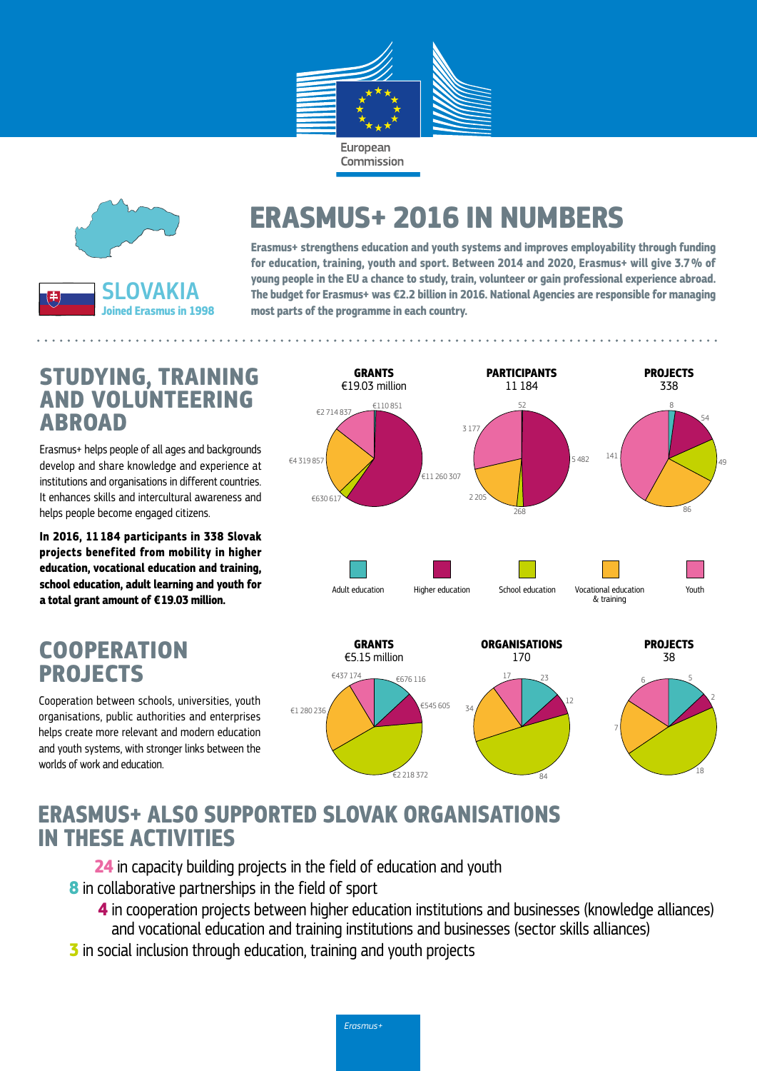



# **ERASMUS+ 2016 IN NUMBERS**

**Erasmus+ strengthens education and youth systems and improves employability through funding for education, training, youth and sport. Between 2014 and 2020, Erasmus+ will give 3.7% of young people in the EU a chance to study, train, volunteer or gain professional experience abroad. The budget for Erasmus+ was €2.2 billion in 2016. National Agencies are responsible for managing most parts of the programme in each country.**

#### **STUDYING, TRAINING AND VOLUNTEERING ABROAD**

Erasmus+ helps people of all ages and backgrounds develop and share knowledge and experience at institutions and organisations in different countries. It enhances skills and intercultural awareness and helps people become engaged citizens.

**In 2016, 11 184 participants in 338 Slovak projects benefited from mobility in higher education, vocational education and training, school education, adult learning and youth for a total grant amount of €19.03 million.**

## **COOPERATION PROJECTS**

Cooperation between schools, universities, youth organisations, public authorities and enterprises helps create more relevant and modern education and youth systems, with stronger links between the worlds of work and education.



497

7

84

82

18

## **ERASMUS+ ALSO SUPPORTED SLOVAK ORGANISATIONS IN THESE ACTIVITIES**

**24** in capacity building projects in the field of education and youth **8** in collaborative partnerships in the field of sport

**4** in cooperation projects between higher education institutions and businesses (knowledge alliances) and vocational education and training institutions and businesses (sector skills alliances)

€2 218 372

€12 398 761 €2 218 372

**3** in social inclusion through education, training and youth projects